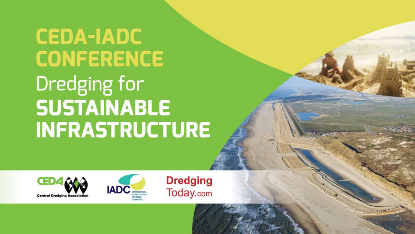# **CEDA-IADC CONFERENCE** Dredging for **SUSTAINABLE INFRASTRUCTURE**





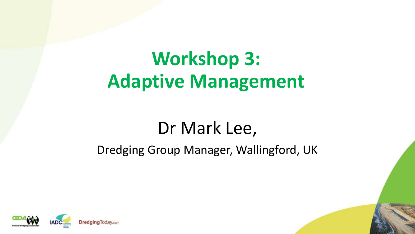### **Workshop 3: Adaptive Management**

### Dr Mark Lee,

#### Dredging Group Manager, Wallingford, UK

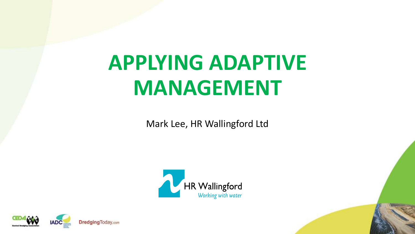# **APPLYING ADAPTIVE MANAGEMENT**

Mark Lee, HR Wallingford Ltd



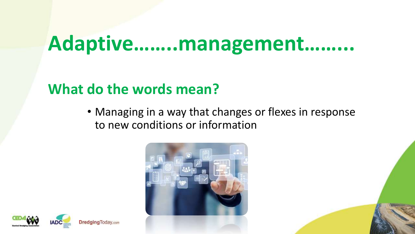### **Adaptive……..management……...**

#### **What do the words mean?**

• Managing in a way that changes or flexes in response to new conditions or information



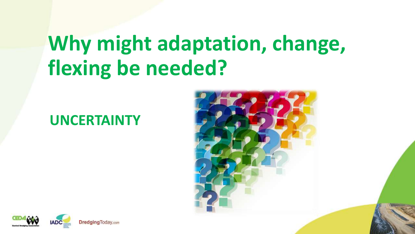## **Why might adaptation, change, flexing be needed?**

#### **UNCERTAINTY**



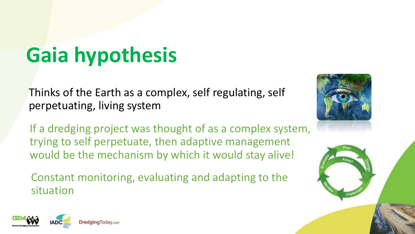# **Gaia hypothesis**

Thinks of the Earth as a complex, self regulating, self perpetuating, living system

If a dredging project was thought of as a complex system, trying to self perpetuate, then adaptive management would be the mechanism by which it would stay alive!

Constant monitoring, evaluating and adapting to the situation





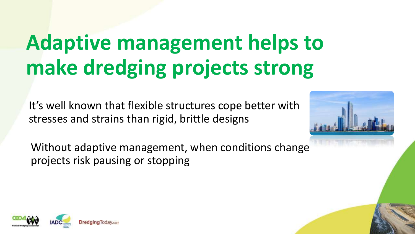# **Adaptive management helps to make dredging projects strong**

It's well known that flexible structures cope better with stresses and strains than rigid, brittle designs



Without adaptive management, when conditions change projects risk pausing or stopping

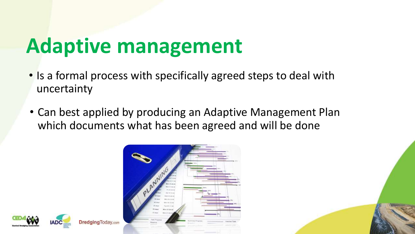## **Adaptive management**

- Is a formal process with specifically agreed steps to deal with uncertainty
- Can best applied by producing an Adaptive Management Plan which documents what has been agreed and will be done



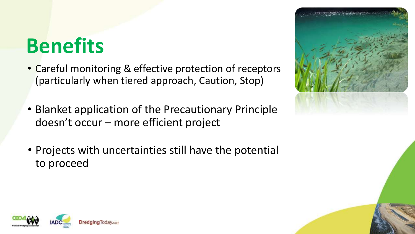## **Benefits**

- Careful monitoring & effective protection of receptors (particularly when tiered approach, Caution, Stop)
- Blanket application of the Precautionary Principle doesn't occur – more efficient project
- Projects with uncertainties still have the potential to proceed



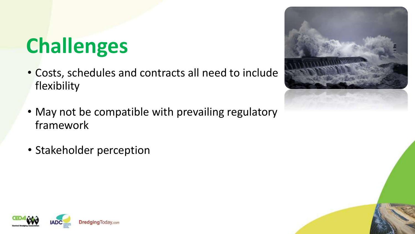# **Challenges**

- Costs, schedules and contracts all need to include flexibility
- May not be compatible with prevailing regulatory framework
- Stakeholder perception